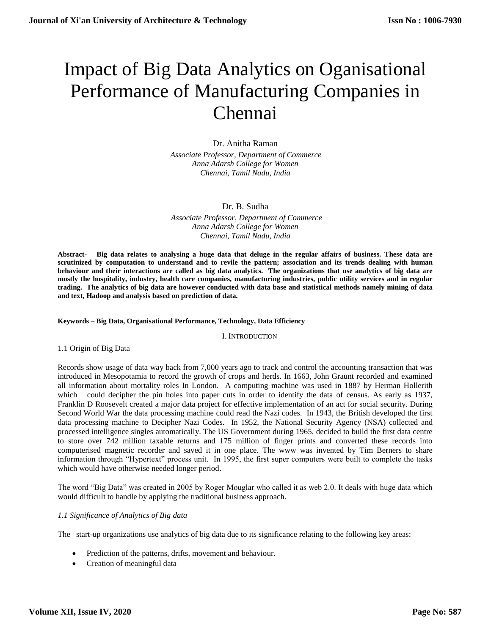# Impact of Big Data Analytics on Oganisational Performance of Manufacturing Companies in Chennai

## Dr. Anitha Raman

*Associate Professor, Department of Commerce Anna Adarsh College for Women Chennai, Tamil Nadu, India*

## Dr. B. Sudha

 *Associate Professor, Department of Commerce Anna Adarsh College for Women Chennai, Tamil Nadu, India*

**Abstract- Big data relates to analysing a huge data that deluge in the regular affairs of business. These data are scrutinized by computation to understand and to revile the pattern; association and its trends dealing with human behaviour and their interactions are called as big data analytics. The organizations that use analytics of big data are mostly the hospitality, industry, health care companies, manufacturing industries, public utility services and in regular trading. The analytics of big data are however conducted with data base and statistical methods namely mining of data and text, Hadoop and analysis based on prediction of data.**

#### **Keywords – Big Data, Organisational Performance, Technology, Data Efficiency**

I. INTRODUCTION

1.1 Origin of Big Data

Records show usage of data way back from 7,000 years ago to track and control the accounting transaction that was introduced in Mesopotamia to record the growth of crops and herds. In 1663, John Graunt recorded and examined all information about mortality roles In London. A computing machine was used in 1887 by Herman Hollerith which could decipher the pin holes into paper cuts in order to identify the data of census. As early as 1937, Franklin D Roosevelt created a major data project for effective implementation of an act for social security. During Second World War the data processing machine could read the Nazi codes. In 1943, the British developed the first data processing machine to Decipher Nazi Codes. In 1952, the National Security Agency (NSA) collected and processed intelligence singles automatically. The US Government during 1965, decided to build the first data centre to store over 742 million taxable returns and 175 million of finger prints and converted these records into computerised magnetic recorder and saved it in one place. The www was invented by Tim Berners to share information through "Hypertext" process unit. In 1995, the first super computers were built to complete the tasks which would have otherwise needed longer period.

The word "Big Data" was created in 2005 by Roger Mouglar who called it as web 2.0. It deals with huge data which would difficult to handle by applying the traditional business approach.

## *1.1 Significance of Analytics of Big data*

The start-up organizations use analytics of big data due to its significance relating to the following key areas:

- Prediction of the patterns, drifts, movement and behaviour.
- Creation of meaningful data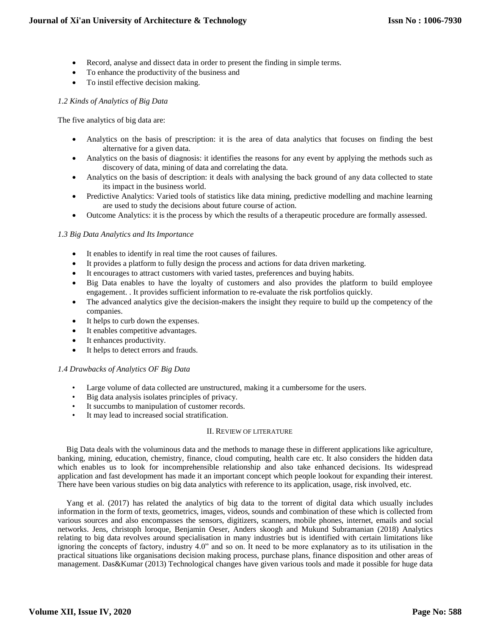- Record, analyse and dissect data in order to present the finding in simple terms.
- To enhance the productivity of the business and
- To instil effective decision making.

## *1.2 Kinds of Analytics of Big Data*

The five analytics of big data are:

- Analytics on the basis of prescription: it is the area of data analytics that focuses on finding the best alternative for a given data.
- Analytics on the basis of diagnosis: it identifies the reasons for any event by applying the methods such as discovery of data, mining of data and correlating the data.
- Analytics on the basis of description: it deals with analysing the back ground of any data collected to state its impact in the business world.
- Predictive Analytics: Varied tools of statistics like data mining, predictive modelling and machine learning are used to study the decisions about future course of action.
- Outcome Analytics: it is the process by which the results of a therapeutic procedure are formally assessed.

## *1.3 Big Data Analytics and Its Importance*

- It enables to identify in real time the root causes of failures.
- It provides a platform to fully design the process and actions for data driven marketing.
- It encourages to attract customers with varied tastes, preferences and buying habits.
- Big Data enables to have the loyalty of customers and also provides the platform to build employee engagement. . It provides sufficient information to re-evaluate the risk portfolios quickly.
- The advanced analytics give the decision-makers the insight they require to build up the competency of the companies.
- It helps to curb down the expenses.
- It enables competitive advantages.
- It enhances productivity.
- It helps to detect errors and frauds.

## *1.4 Drawbacks of Analytics OF Big Data*

- Large volume of data collected are unstructured, making it a cumbersome for the users.
- Big data analysis isolates principles of privacy.
- It succumbs to manipulation of customer records.
- It may lead to increased social stratification.

#### II. REVIEW OF LITERATURE

Big Data deals with the voluminous data and the methods to manage these in different applications like agriculture, banking, mining, education, chemistry, finance, cloud computing, health care etc. It also considers the hidden data which enables us to look for incomprehensible relationship and also take enhanced decisions. Its widespread application and fast development has made it an important concept which people lookout for expanding their interest. There have been various studies on big data analytics with reference to its application, usage, risk involved, etc.

Yang et al. (2017) has related the analytics of big data to the torrent of digital data which usually includes information in the form of texts, geometrics, images, videos, sounds and combination of these which is collected from various sources and also encompasses the sensors, digitizers, scanners, mobile phones, internet, emails and social networks. Jens, christoph loroque, Benjamin Oeser, Anders skoogh and Mukund Subramanian (2018) Analytics relating to big data revolves around specialisation in many industries but is identified with certain limitations like ignoring the concepts of factory, industry 4.0" and so on. It need to be more explanatory as to its utilisation in the practical situations like organisations decision making process, purchase plans, finance disposition and other areas of management. Das&Kumar (2013) Technological changes have given various tools and made it possible for huge data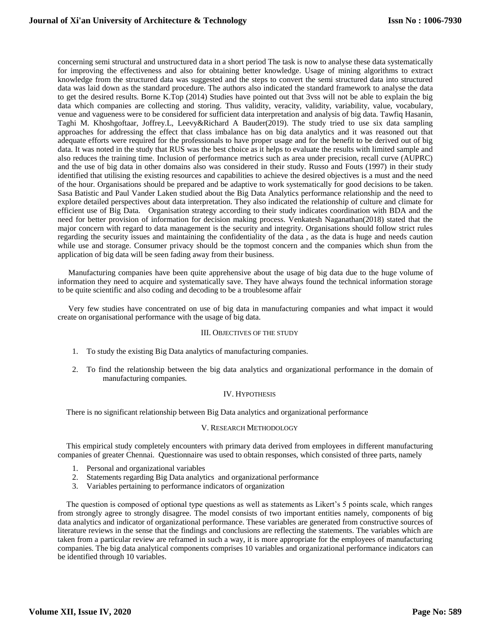concerning semi structural and unstructured data in a short period The task is now to analyse these data systematically for improving the effectiveness and also for obtaining better knowledge. Usage of mining algorithms to extract knowledge from the structured data was suggested and the steps to convert the semi structured data into structured data was laid down as the standard procedure. The authors also indicated the standard framework to analyse the data to get the desired results. Borne K.Top (2014) Studies have pointed out that 3vss will not be able to explain the big data which companies are collecting and storing. Thus validity, veracity, validity, variability, value, vocabulary, venue and vagueness were to be considered for sufficient data interpretation and analysis of big data. Tawfiq Hasanin, Taghi M. Khoshgoftaar, Joffrey.L, Leevy&Richard A Bauder(2019). The study tried to use six data sampling approaches for addressing the effect that class imbalance has on big data analytics and it was reasoned out that adequate efforts were required for the professionals to have proper usage and for the benefit to be derived out of big data. It was noted in the study that RUS was the best choice as it helps to evaluate the results with limited sample and also reduces the training time. Inclusion of performance metrics such as area under precision, recall curve (AUPRC) and the use of big data in other domains also was considered in their study. Russo and Fouts (1997) in their study identified that utilising the existing resources and capabilities to achieve the desired objectives is a must and the need of the hour. Organisations should be prepared and be adaptive to work systematically for good decisions to be taken. Sasa Batistic and Paul Vander Laken studied about the Big Data Analytics performance relationship and the need to explore detailed perspectives about data interpretation. They also indicated the relationship of culture and climate for efficient use of Big Data. Organisation strategy according to their study indicates coordination with BDA and the need for better provision of information for decision making process. Venkatesh Naganathan(2018) stated that the major concern with regard to data management is the security and integrity. Organisations should follow strict rules regarding the security issues and maintaining the confidentiality of the data , as the data is huge and needs caution while use and storage. Consumer privacy should be the topmost concern and the companies which shun from the application of big data will be seen fading away from their business.

Manufacturing companies have been quite apprehensive about the usage of big data due to the huge volume of information they need to acquire and systematically save. They have always found the technical information storage to be quite scientific and also coding and decoding to be a troublesome affair

Very few studies have concentrated on use of big data in manufacturing companies and what impact it would create on organisational performance with the usage of big data.

#### III. OBJECTIVES OF THE STUDY

- 1. To study the existing Big Data analytics of manufacturing companies.
- 2. To find the relationship between the big data analytics and organizational performance in the domain of manufacturing companies.

#### IV. HYPOTHESIS

There is no significant relationship between Big Data analytics and organizational performance

#### V. RESEARCH METHODOLOGY

This empirical study completely encounters with primary data derived from employees in different manufacturing companies of greater Chennai. Questionnaire was used to obtain responses, which consisted of three parts, namely

- 1. Personal and organizational variables
- 2. Statements regarding Big Data analytics and organizational performance
- 3. Variables pertaining to performance indicators of organization

The question is composed of optional type questions as well as statements as Likert's 5 points scale, which ranges from strongly agree to strongly disagree. The model consists of two important entities namely, components of big data analytics and indicator of organizational performance. These variables are generated from constructive sources of literature reviews in the sense that the findings and conclusions are reflecting the statements. The variables which are taken from a particular review are reframed in such a way, it is more appropriate for the employees of manufacturing companies. The big data analytical components comprises 10 variables and organizational performance indicators can be identified through 10 variables.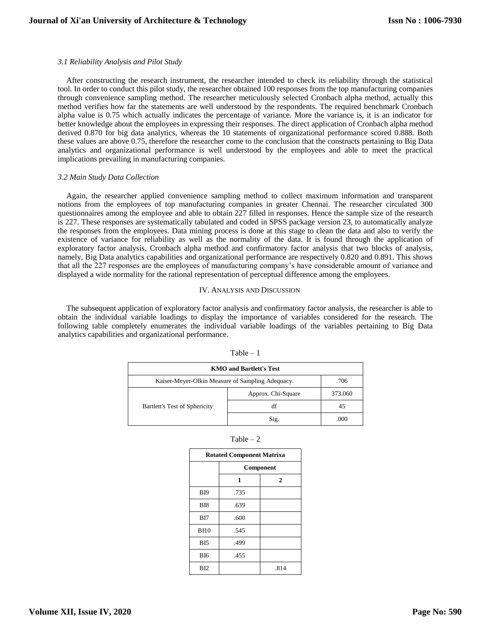#### *3.1 Reliability Analysis and Pilot Study*

After constructing the research instrument, the researcher intended to check its reliability through the statistical tool. In order to conduct this pilot study, the researcher obtained 100 responses from the top manufacturing companies through convenience sampling method. The researcher meticulously selected Cronbach alpha method, actually this method verifies how far the statements are well understood by the respondents. The required benchmark Cronbach alpha value is 0.75 which actually indicates the percentage of variance. More the variance is, it is an indicator for better knowledge about the employees in expressing their responses. The direct application of Cronbach alpha method derived 0.870 for big data analytics, whereas the 10 statements of organizational performance scored 0.888. Both these values are above 0.75, therefore the researcher come to the conclusion that the constructs pertaining to Big Data analytics and organizational performance is well understood by the employees and able to meet the practical implications prevailing in manufacturing companies.

#### *3.2 Main Study Data Collection*

Again, the researcher applied convenience sampling method to collect maximum information and transparent notions from the employees of top manufacturing companies in greater Chennai. The researcher circulated 300 questionnaires among the employee and able to obtain 227 filled in responses. Hence the sample size of the research is 227. These responses are systematically tabulated and coded in SPSS package version 23, to automatically analyze the responses from the employees. Data mining process is done at this stage to clean the data and also to verify the existence of variance for reliability as well as the normality of the data. It is found through the application of exploratory factor analysis, Cronbach alpha method and confirmatory factor analysis that two blocks of analysis, namely, Big Data analytics capabilities and organizational performance are respectively 0.820 and 0.891. This shows that all the 227 responses are the employees of manufacturing company's have considerable amount of variance and displayed a wide normality for the rational representation of perceptual difference among the employees.

#### IV. ANALYSIS AND DISCUSSION

The subsequent application of exploratory factor analysis and confirmatory factor analysis, the researcher is able to obtain the individual variable loadings to display the importance of variables considered for the research. The following table completely enumerates the individual variable loadings of the variables pertaining to Big Data analytics capabilities and organizational performance.

| <b>KMO</b> and Bartlett's Test                           |                    |         |  |  |
|----------------------------------------------------------|--------------------|---------|--|--|
| Kaiser-Meyer-Olkin Measure of Sampling Adequacy.<br>.706 |                    |         |  |  |
|                                                          | Approx. Chi-Square | 373.060 |  |  |
| Bartlett's Test of Sphericity                            | df                 | 45      |  |  |
|                                                          | Sig.               | നന      |  |  |

| 11<br>аΓ |  |
|----------|--|
|----------|--|

| ani |  |
|-----|--|
|-----|--|

| <b>Rotated Component Matrixa</b> |           |              |  |  |
|----------------------------------|-----------|--------------|--|--|
|                                  | Component |              |  |  |
|                                  | 1         | $\mathbf{2}$ |  |  |
| B <sub>I9</sub>                  | .735      |              |  |  |
| B <sub>I8</sub>                  | .639      |              |  |  |
| BI7                              | .600      |              |  |  |
| <b>BI10</b>                      | .545      |              |  |  |
| <b>BI5</b>                       | .499      |              |  |  |
| B <sub>I6</sub>                  | .455      |              |  |  |
| BI2                              |           | .814         |  |  |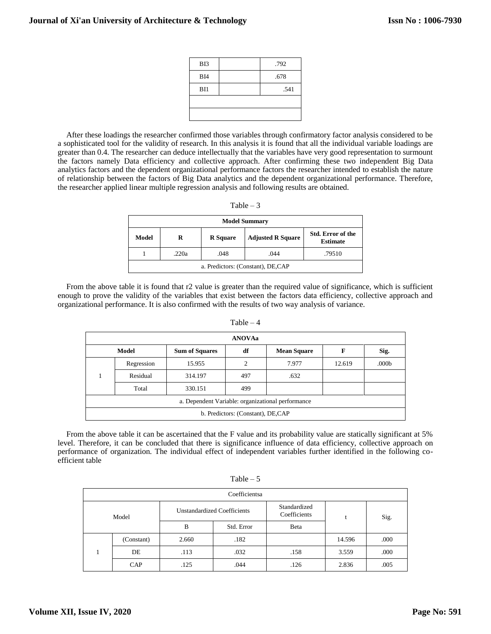| BI3             | .792 |
|-----------------|------|
| BI4             | .678 |
| B <sub>11</sub> | .541 |
|                 |      |
|                 |      |

After these loadings the researcher confirmed those variables through confirmatory factor analysis considered to be a sophisticated tool for the validity of research. In this analysis it is found that all the individual variable loadings are greater than 0.4. The researcher can deduce intellectually that the variables have very good representation to surmount the factors namely Data efficiency and collective approach. After confirming these two independent Big Data analytics factors and the dependent organizational performance factors the researcher intended to establish the nature of relationship between the factors of Big Data analytics and the dependent organizational performance. Therefore, the researcher applied linear multiple regression analysis and following results are obtained.

|                 | Table $-3$           |     |
|-----------------|----------------------|-----|
|                 | <b>Model Summary</b> |     |
| $\bf{D}$ Conore | Adjusted D Conore    | štı |

| Model                              | R     | <b>R</b> Square | <b>Adjusted R Square</b> | <b>Std. Error of the</b><br><b>Estimate</b> |  |
|------------------------------------|-------|-----------------|--------------------------|---------------------------------------------|--|
|                                    | .220a | .048            | .044                     | .79510                                      |  |
| a. Predictors: (Constant), DE, CAP |       |                 |                          |                                             |  |

From the above table it is found that r2 value is greater than the required value of significance, which is sufficient enough to prove the validity of the variables that exist between the factors data efficiency, collective approach and organizational performance. It is also confirmed with the results of two way analysis of variance.

|                                                   |              |                       | <b>ANOVAa</b> |                    |        |                   |
|---------------------------------------------------|--------------|-----------------------|---------------|--------------------|--------|-------------------|
|                                                   | <b>Model</b> | <b>Sum of Squares</b> | df            | <b>Mean Square</b> | F      | Sig.              |
|                                                   | Regression   | 15.955                |               | 7.977              | 12.619 | .000 <sub>b</sub> |
|                                                   | Residual     | 314.197               | 497           | .632               |        |                   |
|                                                   | Total        | 330.151               | 499           |                    |        |                   |
| a. Dependent Variable: organizational performance |              |                       |               |                    |        |                   |
| b. Predictors: (Constant), DE,CAP                 |              |                       |               |                    |        |                   |

Table  $-4$ 

From the above table it can be ascertained that the F value and its probability value are statically significant at 5% level. Therefore, it can be concluded that there is significance influence of data efficiency, collective approach on performance of organization. The individual effect of independent variables further identified in the following coefficient table

|       | Coefficientsa |                                    |            |                              |        |      |
|-------|---------------|------------------------------------|------------|------------------------------|--------|------|
| Model |               | <b>Unstandardized Coefficients</b> |            | Standardized<br>Coefficients |        | Sig. |
|       |               | B                                  | Std. Error | Beta                         |        |      |
|       | (Constant)    | 2.660                              | .182       |                              | 14.596 | .000 |
|       | DE            | .113                               | .032       | .158                         | 3.559  | .000 |
|       | CAP           | .125                               | .044       | .126                         | 2.836  | .005 |

Table  $-5$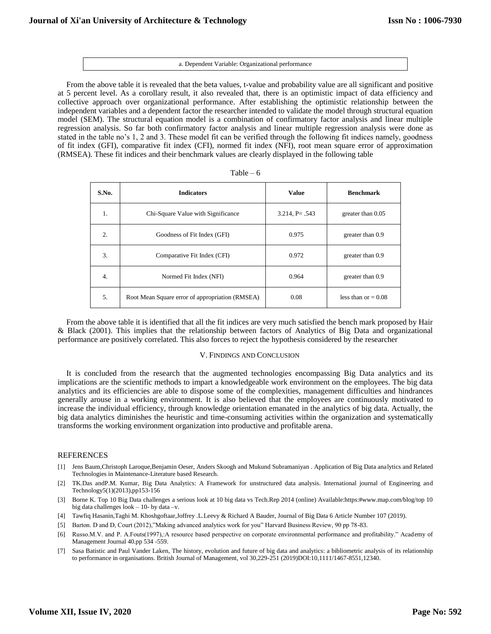#### a. Dependent Variable: Organizational performance

From the above table it is revealed that the beta values, t-value and probability value are all significant and positive at 5 percent level. As a corollary result, it also revealed that, there is an optimistic impact of data efficiency and collective approach over organizational performance. After establishing the optimistic relationship between the independent variables and a dependent factor the researcher intended to validate the model through structural equation model (SEM). The structural equation model is a combination of confirmatory factor analysis and linear multiple regression analysis. So far both confirmatory factor analysis and linear multiple regression analysis were done as stated in the table no's 1, 2 and 3. These model fit can be verified through the following fit indices namely, goodness of fit index (GFI), comparative fit index (CFI), normed fit index (NFI), root mean square error of approximation (RMSEA). These fit indices and their benchmark values are clearly displayed in the following table

| S.No.            | <b>Indicators</b>                               | <b>Value</b>        | <b>Benchmark</b>      |
|------------------|-------------------------------------------------|---------------------|-----------------------|
| 1.               | Chi-Square Value with Significance              | $3.214$ , P= $.543$ | greater than 0.05     |
| $\overline{2}$ . | Goodness of Fit Index (GFI)                     | 0.975               | greater than 0.9      |
| 3.               | Comparative Fit Index (CFI)                     | 0.972               | greater than 0.9      |
| $\overline{4}$ . | Normed Fit Index (NFI)                          | 0.964               | greater than 0.9      |
| 5.               | Root Mean Square error of appropriation (RMSEA) | 0.08                | less than or $= 0.08$ |

| ante |  |  |
|------|--|--|
|------|--|--|

From the above table it is identified that all the fit indices are very much satisfied the bench mark proposed by Hair & Black (2001). This implies that the relationship between factors of Analytics of Big Data and organizational performance are positively correlated. This also forces to reject the hypothesis considered by the researcher

#### V. FINDINGS AND CONCLUSION

It is concluded from the research that the augmented technologies encompassing Big Data analytics and its implications are the scientific methods to impart a knowledgeable work environment on the employees. The big data analytics and its efficiencies are able to dispose some of the complexities, management difficulties and hindrances generally arouse in a working environment. It is also believed that the employees are continuously motivated to increase the individual efficiency, through knowledge orientation emanated in the analytics of big data. Actually, the big data analytics diminishes the heuristic and time-consuming activities within the organization and systematically transforms the working environment organization into productive and profitable arena.

#### REFERENCES

- [1] Jens Baum,Christoph Laroque,Benjamin Oeser, Anders Skoogh and Mukund Subramaniyan . Application of Big Data analytics and Related Technologies in Maintenance-Literature based Research.
- [2] TK.Das andP.M. Kumar, Big Data Analytics: A Framework for unstructured data analysis. International journal of Engineering and Technology5(1)(2013),pp153-156
- [3] Borne K. Top 10 Big Data challenges a serious look at 10 big data vs Tech.Rep 2014 (online) Available:https:#www.map.com/blog/top 10 big data challenges look – 10- by data –v.
- [4] Tawfiq Hasanin,Taghi M. Khoshgoftaar,Joffrey .L.Leevy & Richard A Bauder, Journal of Big Data 6 Article Number 107 (2019).
- [5] Barton. D and D, Court (2012),"Making advanced analytics work for you" Harvard Business Review, 90 pp 78-83.
- [6] Russo.M.V. and P. A.Fouts(1997),:A resource based perspective on corporate environmental performance and profitability." Academy of Management Journal 40.pp 534 -559.
- [7] Sasa Batistic and Paul Vander Laken, The history, evolution and future of big data and analytics: a bibliometric analysis of its relationship to performance in organisations. British Journal of Management, vol 30,229-251 (2019)DOI:10,1111/1467-8551,12340.